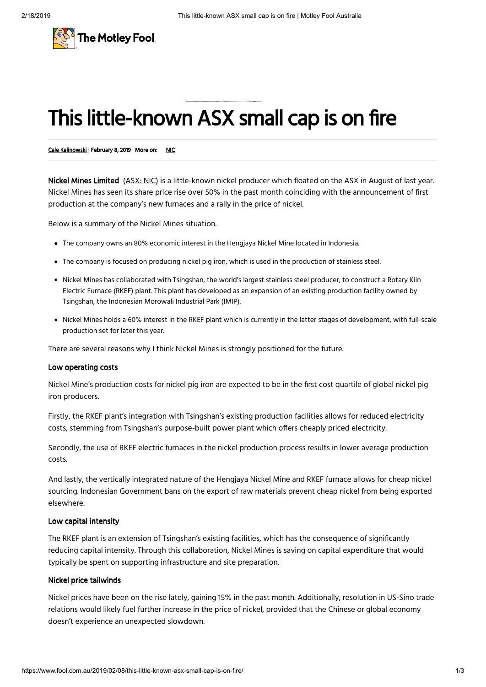

# This little-known ASX small cap is on fire

#### Cale [Kalinowski](https://www.fool.com.au/author/calekalinowski/) | February 8, 2019 | More on: [NIC](https://www.fool.com.au/tickers/ASX-NIC)

Nickel Mines Limited [\(ASX:](https://www.fool.com.au/company/Nickel+Mines+Limited%C2%A0/?ticker=ASX-NIC) NIC) is a little-known nickel producer which floated on the ASX in August of last year. Nickel Mines has seen its share price rise over 50% in the past month coinciding with the announcement of first production at the company's new furnaces and a rally in the price of nickel.

Below is a summary of the Nickel Mines situation.

- The company owns an 80% economic interest in the Hengjaya Nickel Mine located in Indonesia.
- The company is focused on producing nickel pig iron, which is used in the production of stainless steel.
- Nickel Mines has collaborated with Tsingshan, the world's largest stainless steel producer, to construct a Rotary Kiln Electric Furnace (RKEF) plant. This plant has developed as an expansion of an existing production facility owned by Tsingshan, the Indonesian Morowali Industrial Park (IMIP).
- Nickel Mines holds a 60% interest in the RKEF plant which is currently in the latter stages of development, with full-scale production set for later this year.

There are several reasons why I think Nickel Mines is strongly positioned for the future.

### Low operating costs

Nickel Mine's production costs for nickel pig iron are expected to be in the first cost quartile of global nickel pig iron producers.

Firstly, the RKEF plant's integration with Tsingshan's existing production facilities allows for reduced electricity costs, stemming from Tsingshan's purpose-built power plant which offers cheaply priced electricity.

Secondly, the use of RKEF electric furnaces in the nickel production process results in lower average production costs.

And lastly, the vertically integrated nature of the Hengjaya Nickel Mine and RKEF furnace allows for cheap nickel sourcing. Indonesian Government bans on the export of raw materials prevent cheap nickel from being exported elsewhere.

# Low capital intensity

The RKEF plant is an extension of Tsingshan's existing facilities, which has the consequence of significantly reducing capital intensity. Through this collaboration, Nickel Mines is saving on capital expenditure that would typically be spent on supporting infrastructure and site preparation.

### Nickel price tailwinds

Nickel prices have been on the rise lately, gaining 15% in the past month. Additionally, resolution in US-Sino trade relations would likely fuel further increase in the price of nickel, provided that the Chinese or global economy doesn't experience an unexpected slowdown.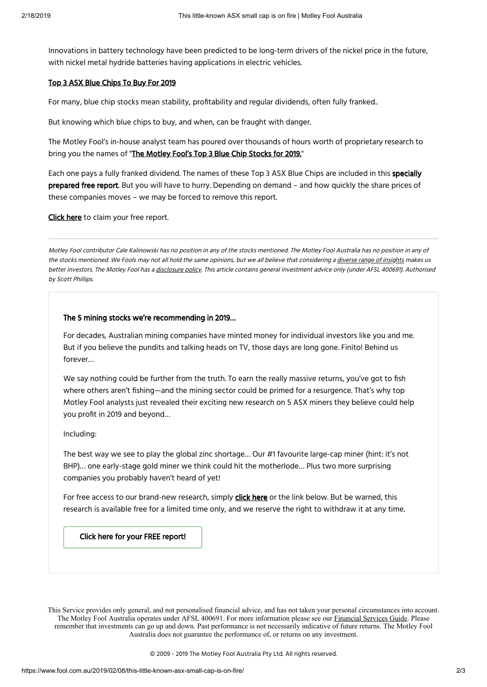Innovations in battery technology have been predicted to be long-term drivers of the nickel price in the future, with nickel metal hydride batteries having applications in electric vehicles.

## Top 3 ASX Blue [Chips](https://www.fool.com.au/free-stock-report/top-blue-chips/?source=adispp7410000030&placement=pitch&adname=AU_DI_BlueChips2017_B&pid=AU_DI_BlueChipStocks2017_B&utm_campaign=AU_DI_BlueChipStocks2017_B) To Buy For 2019

For many, blue chip stocks mean stability, profitability and regular dividends, often fully franked..

But knowing which blue chips to buy, and when, can be fraught with danger.

The Motley Fool's in-house analyst team has poured over thousands of hours worth of proprietary research to bring you the names of "The [Motley](https://www.fool.com.au/free-stock-report/top-blue-chips/?source=adispp7410000030&placement=pitch&adname=AU_DI_BlueChips2017_B&pid=AU_DI_BlueChipStocks2017_B&utm_campaign=AU_DI_BlueChipStocks2017_B) Fool's Top 3 Blue Chip Stocks for 2019."

Each one pays a fully franked dividend. The names of these Top 3 ASX Blue Chips are included in this specially prepared free report. But you will have to hurry. Depending on demand - and how quickly the share prices of these companies moves – we may be forced to remove this report.

[Click](https://www.fool.com.au/free-stock-report/top-blue-chips/?source=adispp7410000030&placement=pitch&adname=AU_DI_BlueChips2017_B&pid=AU_DI_BlueChipStocks2017_B&utm_campaign=AU_DI_BlueChipStocks2017_B) here to claim your free report.

Motley Fool contributor Cale Kalinowski has no position in any of the stocks mentioned. The Motley Fool Australia has no position in any of the stocks mentioned. We Fools may not all hold the same opinions, but we all believe that considering a diverse range of [insights](https://www.fool.com.au/what-does-it-mean-to-be-motley/) makes us better investors. The Motley Fool has <sup>a</sup> [disclosure](https://www.fool.com.au/fool-com-au-disclosure-policy/) policy. This article contains general investment advice only (under AFSL 400691). Authorised by Scott Phillips.

## The 5 mining stocks we're recommending in 2019…

For decades, Australian mining companies have minted money for individual investors like you and me. But if you believe the pundits and talking heads on TV, those days are long gone. Finito! Behind us forever…

We say nothing could be further from the truth. To earn the really massive returns, you've got to fish where others aren't fishing—and the mining sector could be primed for a resurgence. That's why top Motley Fool analysts just revealed their exciting new research on 5 ASX miners they believe could help you profit in 2019 and beyond...

#### Including:

The best way we see to play the global zinc shortage… Our #1 favourite large-cap miner (hint: it's not BHP)… one early-stage gold miner we think could hit the motherlode… Plus two more surprising companies you probably haven't heard of yet!

For free access to our brand-new research, simply **click [here](https://www.fool.com.au/free-stock-report/top-mining-stocks/?source=aauspp7410000034&placement=widget&adname=AU_SA_Mining_1)** or the link below. But be warned, this research is available free for a limited time only, and we reserve the right to withdraw it at any time.

Click here for your FREE [report!](https://www.fool.com.au/free-stock-report/top-mining-stocks/?source=aauspp7410000034&placement=widget&adname=AU_SA_Mining_1)

This Service provides only general, and not personalised financial advice, and has not taken your personal circumstances into account. The Motley Fool Australia operates under AFSL 400691. For more information please see our [Financial Services Guide](https://www.fool.com.au/financial-services-guide/). Please remember that investments can go up and down. Past performance is not necessarily indicative of future returns. The Motley Fool Australia does not guarantee the performance of, or returns on any investment.